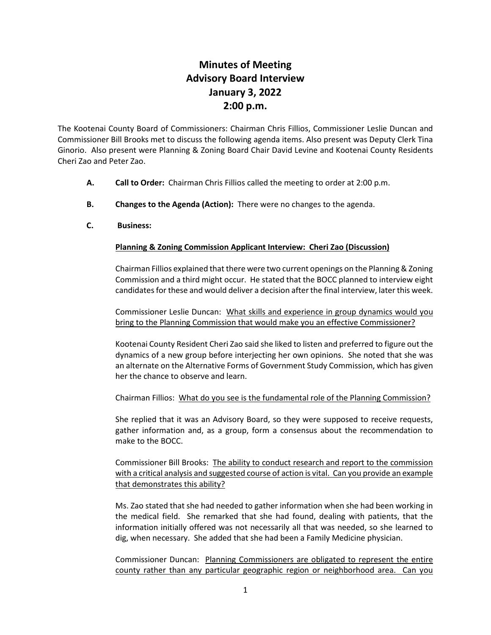## **Minutes of Meeting Advisory Board Interview January 3, 2022 2:00 p.m.**

The Kootenai County Board of Commissioners: Chairman Chris Fillios, Commissioner Leslie Duncan and Commissioner Bill Brooks met to discuss the following agenda items. Also present was Deputy Clerk Tina Ginorio. Also present were Planning & Zoning Board Chair David Levine and Kootenai County Residents Cheri Zao and Peter Zao.

- **A. Call to Order:** Chairman Chris Fillios called the meeting to order at 2:00 p.m.
- **B. Changes to the Agenda (Action):** There were no changes to the agenda.
- **C. Business:**

## **Planning & Zoning Commission Applicant Interview: Cheri Zao (Discussion)**

Chairman Fillios explained that there were two current openings on the Planning & Zoning Commission and a third might occur. He stated that the BOCC planned to interview eight candidates for these and would deliver a decision after the final interview, later this week.

Commissioner Leslie Duncan: What skills and experience in group dynamics would you bring to the Planning Commission that would make you an effective Commissioner?

Kootenai County Resident Cheri Zao said she liked to listen and preferred to figure out the dynamics of a new group before interjecting her own opinions. She noted that she was an alternate on the Alternative Forms of Government Study Commission, which has given her the chance to observe and learn.

Chairman Fillios: What do you see is the fundamental role of the Planning Commission?

She replied that it was an Advisory Board, so they were supposed to receive requests, gather information and, as a group, form a consensus about the recommendation to make to the BOCC.

Commissioner Bill Brooks: The ability to conduct research and report to the commission with a critical analysis and suggested course of action is vital. Can you provide an example that demonstrates this ability?

Ms. Zao stated that she had needed to gather information when she had been working in the medical field. She remarked that she had found, dealing with patients, that the information initially offered was not necessarily all that was needed, so she learned to dig, when necessary. She added that she had been a Family Medicine physician.

Commissioner Duncan: Planning Commissioners are obligated to represent the entire county rather than any particular geographic region or neighborhood area. Can you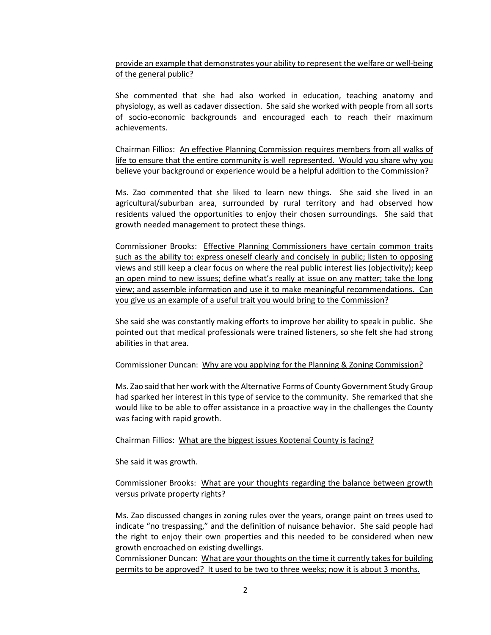provide an example that demonstrates your ability to represent the welfare or well-being of the general public?

She commented that she had also worked in education, teaching anatomy and physiology, as well as cadaver dissection. She said she worked with people from all sorts of socio-economic backgrounds and encouraged each to reach their maximum achievements.

Chairman Fillios: An effective Planning Commission requires members from all walks of life to ensure that the entire community is well represented. Would you share why you believe your background or experience would be a helpful addition to the Commission?

Ms. Zao commented that she liked to learn new things. She said she lived in an agricultural/suburban area, surrounded by rural territory and had observed how residents valued the opportunities to enjoy their chosen surroundings. She said that growth needed management to protect these things.

Commissioner Brooks: Effective Planning Commissioners have certain common traits such as the ability to: express oneself clearly and concisely in public; listen to opposing views and still keep a clear focus on where the real public interest lies (objectivity); keep an open mind to new issues; define what's really at issue on any matter; take the long view; and assemble information and use it to make meaningful recommendations. Can you give us an example of a useful trait you would bring to the Commission?

She said she was constantly making efforts to improve her ability to speak in public. She pointed out that medical professionals were trained listeners, so she felt she had strong abilities in that area.

Commissioner Duncan: Why are you applying for the Planning & Zoning Commission?

Ms. Zao said that her work with the Alternative Forms of County Government Study Group had sparked her interest in this type of service to the community. She remarked that she would like to be able to offer assistance in a proactive way in the challenges the County was facing with rapid growth.

Chairman Fillios: What are the biggest issues Kootenai County is facing?

She said it was growth.

Commissioner Brooks: What are your thoughts regarding the balance between growth versus private property rights?

Ms. Zao discussed changes in zoning rules over the years, orange paint on trees used to indicate "no trespassing," and the definition of nuisance behavior. She said people had the right to enjoy their own properties and this needed to be considered when new growth encroached on existing dwellings.

Commissioner Duncan: What are your thoughts on the time it currently takes for building permits to be approved? It used to be two to three weeks; now it is about 3 months.